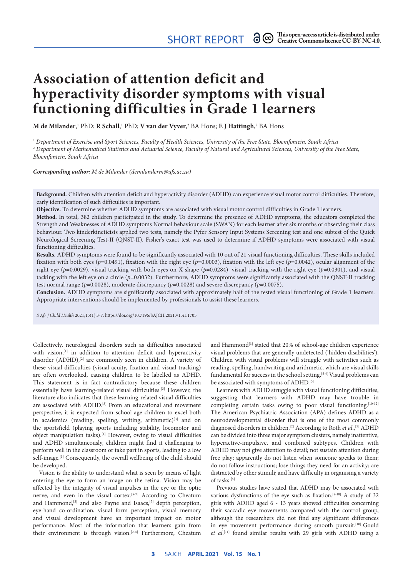SHORT REPORT  $\partial \mathfrak{S}$  This open-access article is distributed under  $S$ HORT REPORT  $\partial \mathfrak{S}$ 

# **Association of attention deficit and hyperactivity disorder symptoms with visual functioning difficulties in Grade 1 learners**

 ${\bf M}$  de Milander,<sup>1</sup> PhD; **R Schall**,<sup>1</sup> PhD; **V van der Vyver**,<sup>2</sup> BA Hons; **E J Hattingh**,<sup>2</sup> BA Hons

<sup>1</sup> *Department of Exercise and Sport Sciences, Faculty of Health Sciences, University of the Free State, Bloemfontein, South Africa* <sup>2</sup> *Department of Mathematical Statistics and Actuarial Science, Faculty of Natural and Agricultural Sciences, University of the Free State, Bloemfontein, South Africa*

*Corresponding author: M de Milander ([demilanderm@ufs.ac.za\)](mailto:demilanderm@ufs.ac.za)*

**Background.** Children with attention deficit and hyperactivity disorder (ADHD) can experience visual motor control difficulties. Therefore, early identification of such difficulties is important.

**Objective.** To determine whether ADHD symptoms are associated with visual motor control difficulties in Grade 1 learners.

**Method.** In total, 382 children participated in the study. To determine the presence of ADHD symptoms, the educators completed the Strength and Weaknesses of ADHD symptoms Normal behaviour scale (SWAN) for each learner after six months of observing their class behaviour. Two kinderkineticists applied two tests, namely the Pyfer Sensory Input Systems Screening test and one subtest of the Quick Neurological Screening Test-II (QNST-II). Fisher's exact test was used to determine if ADHD symptoms were associated with visual functioning difficulties.

**Results.** ADHD symptoms were found to be significantly associated with 10 out of 21 visual functioning difficulties. These skills included fixation with both eyes (*p*=0.0491), fixation with the right eye (*p*=0.0003), fixation with the left eye (*p*=0.0042), ocular alignment of the right eye (*p*=0.0029), visual tracking with both eyes on X shape (*p*=0.0284), visual tracking with the right eye (*p*=0.0301), and visual tacking with the left eye on a circle (*p*=0.0032). Furthermore, ADHD symptoms were significantly associated with the QNST-II tracking test normal range (*p*=0.0028), moderate discrepancy (*p*=0.0028) and severe discrepancy (*p*=0.0075).

**Conclusion.** ADHD symptoms are significantly associated with approximately half of the tested visual functioning of Grade 1 learners. Appropriate interventions should be implemented by professionals to assist these learners.

*S Afr J Child Health* 2021;15(1):3-7.<https://doi.org/10.7196/SAJCH.2021.v15i1.1705>

Collectively, neurological disorders such as difficulties associated with vision,<sup>[1]</sup> in addition to attention deficit and hyperactivity disorder (ADHD),<sup>[2]</sup> are commonly seen in children. A variety of these visual difficulties (visual acuity, fixation and visual tracking) are often overlooked, causing children to be labelled as ADHD. This statement is in fact contradictory because these children essentially have learning-related visual difficulties.[3] However, the literature also indicates that these learning-related visual difficulties are associated with ADHD.<sup>[3]</sup> From an educational and movement perspective, it is expected from school-age children to excel both in academics (reading, spelling, writing, arithmetic)<sup>[3]</sup> and on the sportsfield (playing sports including stability, locomotor and object manipulation tasks).<sup>[4]</sup> However, owing to visual difficulties and ADHD simultaneously, children might find it challenging to perform well in the classroom or take part in sports, leading to a low self-image.<sup>[3]</sup> Consequently, the overall wellbeing of the child should be developed.

Vision is the ability to understand what is seen by means of light entering the eye to form an image on the retina. Vision may be affected by the integrity of visual impulses in the eye or the optic nerve, and even in the visual cortex.[5-7] According to Cheatum and Hammond,<sup>[3]</sup> and also Payne and Isaacs,<sup>[7]</sup> depth perception, eye-hand co-ordination, visual form perception, visual memory and visual development have an important impact on motor performance. Most of the information that learners gain from their environment is through vision.[2-4] Furthermore, Cheatum

and Hammond<sup>[3]</sup> stated that 20% of school-age children experience visual problems that are generally undetected ('hidden disabilities'). Children with visual problems will struggle with activities such as reading, spelling, handwriting and arithmetic, which are visual skills fundamental for success in the school setting.<sup>[5-9]</sup> Visual problems can be associated with symptoms of ADHD.<sup>[3]</sup>

Learners with ADHD struggle with visual functioning difficulties, suggesting that learners with ADHD may have trouble in completing certain tasks owing to poor visual functioning.<sup>[10-12]</sup> The American Psychiatric Association (APA) defines ADHD as a neurodevelopmental disorder that is one of the most commonly diagnosed disorders in children.<sup>[2]</sup> According to Roth *et al.*,<sup>[5]</sup> ADHD can be divided into three major symptom clusters, namely inattentive, hyperactive-impulsive, and combined subtypes. Children with ADHD may not give attention to detail; not sustain attention during free play; apparently do not listen when someone speaks to them; do not follow instructions; lose things they need for an activity; are distracted by other stimuli; and have difficulty in organising a variety of tasks.<sup>[5]</sup>

Previous studies have stated that ADHD may be associated with various dysfunctions of the eye such as fixation.[8-10] A study of 32 girls with ADHD aged 6 - 13 years showed difficulties concerning their saccadic eye movements compared with the control group, although the researchers did not find any significant differences in eye movement performance during smooth pursuit.<sup>[10]</sup> Gould *et al*. [11] found similar results with 29 girls with ADHD using a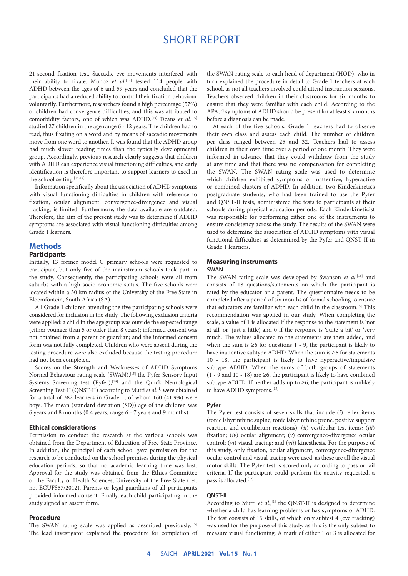21-second fixation test. Saccadic eye movements interfered with their ability to fixate. Munoz *et al*. [12] tested 114 people with ADHD between the ages of 6 and 59 years and concluded that the participants had a reduced ability to control their fixation behaviour voluntarily. Furthermore, researchers found a high percentage (57%) of children had convergence difficulties, and this was attributed to comorbidity factors, one of which was ADHD.[13] Deans *et al*. [15] studied 27 children in the age range 6 - 12 years. The children had to read, thus fixating on a word and by means of saccadic movements move from one word to another. It was found that the ADHD group had much slower reading times than the typically developmental group. Accordingly, previous research clearly suggests that children with ADHD can experience visual functioning difficulties, and early identification is therefore important to support learners to excel in the school setting.<sup>[13-14]</sup>

Information specifically about the association of ADHD symptoms with visual functioning difficulties in children with reference to fixation, ocular alignment, convergence-divergence and visual tracking, is limited. Furthermore, the data available are outdated. Therefore, the aim of the present study was to determine if ADHD symptoms are associated with visual functioning difficulties among Grade 1 learners.

### **Methods**

### **Participants**

Initially, 13 former model C primary schools were requested to participate, but only five of the mainstream schools took part in the study. Consequently, the participating schools were all from suburbs with a high socio-economic status. The five schools were located within a 30 km radius of the University of the Free State in Bloemfontein, South Africa (SA).

All Grade 1 children attending the five participating schools were considered for inclusion in the study. The following exclusion criteria were applied: a child in the age group was outside the expected range (either younger than 5 or older than 8 years); informed consent was not obtained from a parent or guardian; and the informed consent form was not fully completed. Children who were absent during the testing procedure were also excluded because the testing procedure had not been completed.

Scores on the Strength and Weaknesses of ADHD Symptoms Normal Behaviour rating scale (SWAN),<sup>[15]</sup> the Pyfer Sensory Input Systems Screening test (Pyfer),<sup>[16]</sup> and the Quick Neurological Screening Test-II (QNST-II) according to Mutti *et al*. [1] were obtained for a total of 382 learners in Grade 1, of whom 160 (41.9%) were boys. The mean (standard deviation (SD)) age of the children was 6 years and 8 months (0.4 years, range 6 - 7 years and 9 months).

### **Ethical considerations**

Permission to conduct the research at the various schools was obtained from the Department of Education of Free State Province. In addition, the principal of each school gave permission for the research to be conducted on the school premises during the physical education periods, so that no academic learning time was lost. Approval for the study was obtained from the Ethics Committee of the Faculty of Health Sciences, University of the Free State (ref. no. ECUFS57/2012). Parents or legal guardians of all participants provided informed consent. Finally, each child participating in the study signed an assent form.

### **Procedure**

The SWAN rating scale was applied as described previously.[15] The lead investigator explained the procedure for completion of the SWAN rating scale to each head of department (HOD), who in turn explained the procedure in detail to Grade 1 teachers at each school, as not all teachers involved could attend instruction sessions. Teachers observed children in their classrooms for six months to ensure that they were familiar with each child. According to the APA,[2] symptoms of ADHD should be present for at least six months before a diagnosis can be made.

At each of the five schools, Grade 1 teachers had to observe their own class and assess each child. The number of children per class ranged between 25 and 32. Teachers had to assess children in their own time over a period of one month. They were informed in advance that they could withdraw from the study at any time and that there was no compensation for completing the SWAN. The SWAN rating scale was used to determine which children exhibited symptoms of inattentive, hyperactive or combined clusters of ADHD. In addition, two Kinderkinetics postgraduate students, who had been trained to use the Pyfer and QNST-II tests, administered the tests to participants at their schools during physical education periods. Each Kinderkineticist was responsible for performing either one of the instruments to ensure consistency across the study. The results of the SWAN were used to determine the association of ADHD symptoms with visual functional difficulties as determined by the Pyfer and QNST-II in Grade 1 learners.

### **Measuring instruments SWAN**

The SWAN rating scale was developed by Swanson et al.<sup>[16]</sup> and consists of 18 questions/statements on which the participant is rated by the educator or a parent. The questionnaire needs to be completed after a period of six months of formal schooling to ensure that educators are familiar with each child in the classroom.<sup>[5]</sup> This recommendation was applied in our study. When completing the scale, a value of 1 is allocated if the response to the statement is 'not at all' or 'just a little', and 0 if the response is 'quite a bit' or 'very much'. The values allocated to the statements are then added, and when the sum is  $\geq 6$  for questions 1 - 9, the participant is likely to have inattentive subtype ADHD. When the sum is ≥6 for statements 10 - 18, the participant is likely to have hyperactive/impulsive subtype ADHD. When the sums of both groups of statements (1 - 9 and 10 - 18) are ≥6, the participant is likely to have combined subtype ADHD. If neither adds up to  $\geq 6$ , the participant is unlikely to have ADHD symptoms.<sup>[15]</sup>

### **Pyfer**

The Pyfer test consists of seven skills that include (*i*) reflex items (tonic labyrinthine supine, tonic labyrinthine prone, positive support reaction and equilibrium reactions); (*ii*) vestibular test items; (*iii*) fixation; (*iv*) ocular alignment; (*v*) convergence-divergence ocular control; (*vi*) visual tracing; and (*vii*) kinesthesis. For the purpose of this study, only fixation, ocular alignment, convergence-divergence ocular control and visual tracing were used, as these are all the visual motor skills. The Pyfer test is scored only according to pass or fail criteria. If the participant could perform the activity requested, a pass is allocated.<sup>[16]</sup>

### **QNST-II**

According to Mutti et al.,<sup>[1]</sup> the QNST-II is designed to determine whether a child has learning problems or has symptoms of ADHD. The test consists of 15 skills, of which only subtest 4 (eye tracking) was used for the purpose of this study, as this is the only subtest to measure visual functioning. A mark of either 1 or 3 is allocated for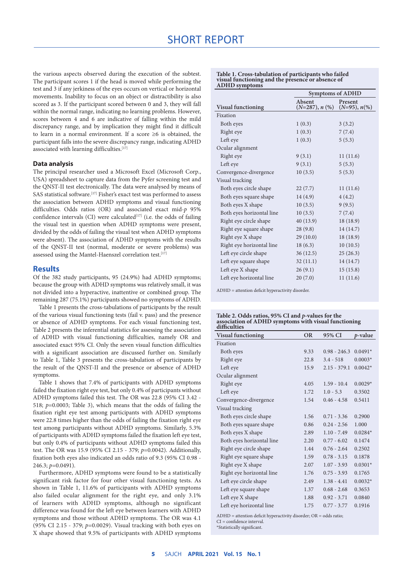## SHORT REPORT

the various aspects observed during the execution of the subtest. The participant scores 1 if the head is moved while performing the test and 3 if any jerkiness of the eyes occurs on vertical or horizontal movements. Inability to focus on an object or distractibility is also scored as 3. If the participant scored between 0 and 3, they will fall within the normal range, indicating no learning problems. However, scores between 4 and 6 are indicative of falling within the mild discrepancy range, and by implication they might find it difficult to learn in a normal environment. If a score ≥6 is obtained, the participant falls into the severe discrepancy range, indicating ADHD associated with learning difficulties.<sup>[17]</sup>

### **Data analysis**

The principal researcher used a Microsoft Excel (Microsoft Corp., USA) spreadsheet to capture data from the Pyfer screening test and the QNST-II test electronically. The data were analysed by means of SAS statistical software.<sup>[17]</sup> Fisher's exact test was performed to assess the association between ADHD symptoms and visual functioning difficulties. Odds ratios (OR) and associated exact mid-*p* 95% confidence intervals (CI) were calculated $[17]$  (i.e. the odds of failing the visual test in question when ADHD symptoms were present, divided by the odds of failing the visual test when ADHD symptoms were absent). The association of ADHD symptoms with the results of the QNST-II test (normal, moderate or severe problems) was assessed using the Mantel-Haenszel correlation test.<sup>[17]</sup>

### **Results**

Of the 382 study participants, 95 (24.9%) had ADHD symptoms; because the group with ADHD symptoms was relatively small, it was not divided into a hyperactive, inattentive or combined group. The remaining 287 (75.1%) participants showed no symptoms of ADHD.

Table 1 presents the cross-tabulations of participants by the result of the various visual functioning tests (fail v. pass) and the presence or absence of ADHD symptoms. For each visual functioning test, Table 2 presents the inferential statistics for assessing the association of ADHD with visual functioning difficulties, namely OR and associated exact 95% CI. Only the seven visual function difficulties with a significant association are discussed further on. Similarly to Table 1, Table 3 presents the cross-tabulation of participants by the result of the QNST-II and the presence or absence of ADHD symptoms.

Table 1 shows that 7.4% of participants with ADHD symptoms failed the fixation right eye test, but only 0.4% of participants without ADHD symptoms failed this test. The OR was 22.8 (95% CI 3.42 - 518; *p*=0.0003; Table 3), which means that the odds of failing the fixation right eye test among participants with ADHD symptoms were 22.8 times higher than the odds of failing the fixation right eye test among participants without ADHD symptoms. Similarly, 5.3% of participants with ADHD symptoms failed the fixation left eye test, but only 0.4% of participants without ADHD symptoms failed this test. The OR was 15.9 (95% CI 2.15 - 379; *p*=0.0042). Additionally, fixation both eyes also indicated an odds ratio of 9.3 (95% CI 0.98 - 246.3; *p*=0.0491).

Furthermore, ADHD symptoms were found to be a statistically significant risk factor for four other visual functioning tests. As shown in Table 1, 11.6% of participants with ADHD symptoms also failed ocular alignment for the right eye, and only 3.1% of learners with ADHD symptoms, although no significant difference was found for the left eye between learners with ADHD symptoms and those without ADHD symptoms. The OR was 4.1 (95% CI 2.15 - 379; *p*=0.0029). Visual tracking with both eyes on X shape showed that 9.5% of participants with ADHD symptoms

| льны зушрюшэ              |                            |                            |  |
|---------------------------|----------------------------|----------------------------|--|
|                           | <b>Symptoms of ADHD</b>    |                            |  |
| <b>Visual functioning</b> | Absent<br>$(N=287), n$ (%) | Present<br>$(N=95), n$ (%) |  |
| Fixation                  |                            |                            |  |
| Both eyes                 | 1(0.3)                     | 3(3.2)                     |  |
| Right eye                 | 1(0.3)                     | 7(7.4)                     |  |
| Left eye                  | 1(0.3)                     | 5(5.3)                     |  |
| Ocular alignment          |                            |                            |  |
| Right eye                 | 9(3.1)                     | 11(11.6)                   |  |
| Left eye                  | 9(3.1)                     | 5(5.3)                     |  |
| Convergence-divergence    | 10(3.5)                    | 5(5.3)                     |  |
| Visual tracking           |                            |                            |  |
| Both eyes circle shape    | 22(7.7)                    | 11(11.6)                   |  |
| Both eyes square shape    | 14(4.9)                    | 4(4.2)                     |  |
| Both eyes X shape         | 10(3.5)                    | 9(9.5)                     |  |
| Both eyes horizontal line | 10(3.5)                    | 7(7.4)                     |  |
| Right eye circle shape    | 40 (13.9)                  | 18(18.9)                   |  |
| Right eye square shape    | 28(9.8)                    | 14 (14.7)                  |  |
| Right eye X shape         | 29(10.0)                   | 18(18.9)                   |  |
| Right eye horizontal line | 18(6.3)                    | 10(10.5)                   |  |
| Left eye circle shape     | 36(12.5)                   | 25(26.3)                   |  |
| Left eye square shape     | 32(11.1)                   | 14(14.7)                   |  |
| Left eye X shape          | 26(9.1)                    | 15(15.8)                   |  |
| Left eye horizontal line  | 20(7.0)                    | 11(11.6)                   |  |

**Table 1. Cross-tabulation of participants who failed visual functioning and the presence or absence of ADHD symptoms**

ADHD = attention deficit hyperactivity disorder.

| Table 2. Odds ratios, 95% CI and p-values for the                    |  |
|----------------------------------------------------------------------|--|
| association of ADHD symptoms with visual functioning<br>difficulties |  |

| Visual functioning        | <b>OR</b> | 95% CI         | p-value   |
|---------------------------|-----------|----------------|-----------|
| Fixation                  |           |                |           |
| Both eyes                 | 9.33      | $0.98 - 246.3$ | $0.0491*$ |
| Right eye                 | 22.8      | $3.4 - 518$    | $0.0003*$ |
| Left eye                  | 15.9      | $2.15 - 379.1$ | $0.0042*$ |
| Ocular alignment          |           |                |           |
| Right eye                 | 4.05      | $1.59 - 10.4$  | $0.0029*$ |
| Left eye                  | 1.72      | $1.0 - 5.3$    | 0.3502    |
| Convergence-divergence    | 1.54      | $0.46 - 4.58$  | 0.5411    |
| Visual tracking           |           |                |           |
| Both eyes circle shape    | 1.56      | $0.71 - 3.36$  | 0.2900    |
| Both eyes square shape    | 0.86      | $0.24 - 2.56$  | 1.000     |
| Both eyes X shape         | 2.89      | $1.10 - 7.49$  | $0.0284*$ |
| Both eyes horizontal line | 2.20      | $0.77 - 6.02$  | 0.1474    |
| Right eye circle shape    | 1.44      | $0.76 - 2.64$  | 0.2502    |
| Right eye square shape    | 1.59      | $0.78 - 3.15$  | 0.1878    |
| Right eye X shape         | 2.07      | $1.07 - 3.93$  | $0.0301*$ |
| Right eye horizontal line | 1.76      | $0.75 - 3.93$  | 0.1765    |
| Left eye circle shape     | 2.49      | $1.38 - 4.41$  | $0.0032*$ |
| Left eye square shape     | 1.37      | $0.68 - 2.68$  | 0.3653    |
| Left eye X shape          | 1.88      | $0.92 - 3.71$  | 0.0840    |
| Left eye horizontal line  | 1.75      | $0.77 - 3.77$  | 0.1916    |

ADHD = attention deficit hyperactivity disorder; OR = odds ratio; CI = confidence interval. \*Statistically significant.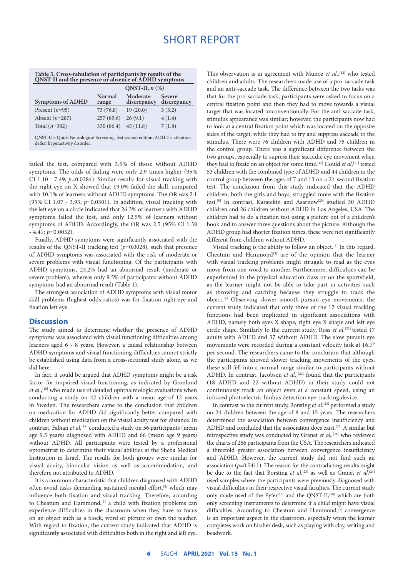| Table 3. Cross-tabulation of participants by results of the |  |
|-------------------------------------------------------------|--|
| <b>ONST-II</b> and the presence or absence of ADHD symptoms |  |

|                  | ONST-II, $n$ $(\%)$ |                         |                       |
|------------------|---------------------|-------------------------|-----------------------|
| Symptoms of ADHD | Normal<br>range     | Moderate<br>discrepancy | Severe<br>discrepancy |
| Present $(n=95)$ | 73 (76.8)           | 19(20.0)                | 3(3.2)                |
| Absent $(n=287)$ | 257(89.6)           | 26(9.1)                 | 4(1.4)                |
| Total $(n=382)$  | 330 (86.4)          | 45(11.8)                | 7(1.8)                |
|                  |                     |                         |                       |

QNST-II = Quick Neurological Screening Test second edition; ADHD = attention deficit hyperactivity disorder.

failed the test, compared with 3.5% of those without ADHD symptoms. The odds of failing were only 2.9 times higher (95% CI 1.10 - 7.49; *p*=0.0284). Similar results for visual tracking with the right eye on X showed that 19.0% failed the skill, compared with 10.1% of learners without ADHD symptoms. The OR was 2.1 (95% CI 1.07 - 3.93; *p*=0.0301). In addition, visual tracking with the left eye on a circle indicated that 26.3% of learners with ADHD symptoms failed the test, and only 12.5% of learners without symptoms of ADHD. Accordingly, the OR was 2.5 (95% CI 1.38 - 4.41; *p*=0.0032).

Finally, ADHD symptoms were significantly associated with the results of the QNST-II tracking test (*p*=0.0028), such that presence of ADHD symptoms was associated with the risk of moderate or severe problems with visual functioning. Of the participants with ADHD symptoms, 23.2% had an abnormal result (moderate or severe problem), whereas only 9.5% of participants without ADHD symptoms had an abnormal result (Table 1).

The strongest association of ADHD symptoms with visual motor skill problems (highest odds ratios) was for fixation right eye and fixation left eye.

### **Discussion**

The study aimed to determine whether the presence of ADHD symptoms was associated with visual functioning difficulties among learners aged 6 - 8 years. However, a causal relationship between ADHD symptoms and visual functioning difficulties cannot strictly be established using data from a cross-sectional study alone, as we did here.

In fact, it could be argued that ADHD symptoms might be a risk factor for impaired visual functioning, as indicated by Gronlund et al.,<sup>[18]</sup> who made use of detailed ophthalmologic evaluations when conducting a study on 42 children with a mean age of 12 years in Sweden. The researchers came to the conclusion that children on medication for ADHD did significantly better compared with children without medication on the visual acuity test for distance. In contrast, Fabian *et al.*<sup>[19]</sup> conducted a study on 56 participants (mean age 9.5 years) diagnosed with ADHD and 66 (mean age 9 years) without ADHD. All participants were tested by a professional optometrist to determine their visual abilities at the Sheba Medical Institution in Israel. The results for both groups were similar for visual acuity, binocular vision as well as accommodation, and therefore not attributed to ADHD.

It is a common characteristic that children diagnosed with ADHD often avoid tasks demanding sustained mental effort,<sup>[5]</sup> which may influence both fixation and visual tracking. Therefore, according to Cheatum and Hammond,<sup>[3]</sup> a child with fixation problems can experience difficulties in the classroom when they have to focus on an object such as a block, word or picture or even the teacher. With regard to fixation, the current study indicated that ADHD is significantly associated with difficulties both in the right and left eye. This observation is in agreement with Munoz et al.,<sup>[12]</sup> who tested children and adults. The researchers made use of a pro-saccade task and an anti-saccade task. The difference between the two tasks was that for the pro-saccade task, participants were asked to focus on a central fixation point and then they had to move towards a visual target that was located unconventionally. For the anti-saccade task, stimulus appearance was similar; however, the participants now had to look at a central fixation point which was located on the opposite sides of the target, while they had to try and suppress saccade to the stimulus. There were 76 children with ADHD and 75 children in the control group. There was a significant difference between the two groups, especially to supress their saccadic eye movement when they had to fixate on an object for some time.[12] Gould *et al*. [11] tested 53 children with the combined type of ADHD and 44 children in the control group between the ages of 7 and 13 on a 21-second fixation test. The conclusion from this study indicated that the ADHD children, both the girls and boys, struggled more with the fixation test.[8] In contrast, Karatekin and Asarnow[20] studied 30 ADHD children and 26 children without ADHD in Los Angeles, USA. The children had to do a fixation test using a picture out of a children's book and to answer three questions about the picture. Although the ADHD group had shorter fixation times, these were not significantly different from children without ADHD.

Visual tracking is the ability to follow an object.[3] In this regard, Cheatum and Hammond<sup>[3]</sup> are of the opinion that the learner with visual tracking problems might struggle to read as the eyes move from one word to another. Furthermore, difficulties can be experienced in the physical education class or on the sportsfield, as the learner might not be able to take part in activities such as throwing and catching because they struggle to track the object.[3] Observing slower smooth-pursuit eye movements, the current study indicated that only three of the 12 visual tracking functions had been implicated in significant associations with ADHD, namely both eyes X shape, right eye X shape and left eye circle shape. Similarly to the current study, Ross *et al.*[21] tested 17 adults with ADHD and 37 without ADHD. The slow pursuit eye movements were recorded during a constant velocity task at 16.7° per second. The researchers came to the conclusion that although the participants showed slower tracking movements of the eyes, these still fell into a normal range similar to participants without ADHD. In contrast, Jacobsen *et al.*,<sup>[22]</sup> found that the participants (18 ADHD and 22 without ADHD) in their study could not continuously track an object even at a constant speed, using an infrared photoelectric limbus detection eye-tracking device.

In contrast to the current study, Borsting *et al.*<sup>[23]</sup> performed a study on 24 children between the age of 8 and 15 years. The researchers determined the association between convergence insufficiency and ADHD and concluded that the association does exist.<sup>[23]</sup> A similar but retrospective study was conducted by Granet *et al.,*[24] who reviewed the charts of 266 participants from the USA. The researchers indicated a threefold greater association between convergence insufficiency and ADHD. However, the current study did not find such an association  $(p=0.5411)$ . The reason for the contradicting results might be due to the fact that Borsting *et al*. [23] as well as Granet *et al*. [24] used samples where the participants were previously diagnosed with visual difficulties in their respective visual faculties. The current study only made used of the Pyfer<sup>[17]</sup> and the QNST-II,<sup>[18]</sup> which are both only screening instruments to determine if a child might have visual difficulties. According to Cheatum and Hammond,<sup>[3]</sup> convergence is an important aspect in the classroom, especially when the learner completes work on his/her desk, such as playing with clay, writing and beadwork.